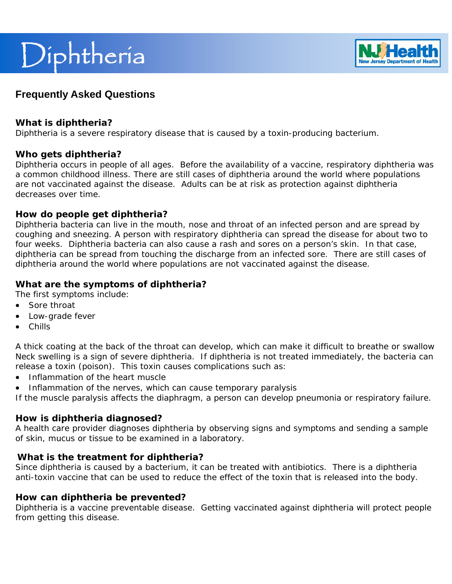# Diphtheria



# **Frequently Asked Questions**

#### **What is diphtheria?**

Diphtheria is a severe respiratory disease that is caused by a toxin-producing bacterium.

#### **Who gets diphtheria?**

Diphtheria occurs in people of all ages. Before the availability of a vaccine, respiratory diphtheria was a common childhood illness. There are still cases of diphtheria around the world where populations are not vaccinated against the disease. Adults can be at risk as protection against diphtheria decreases over time.

#### **How do people get diphtheria?**

Diphtheria bacteria can live in the mouth, nose and throat of an infected person and are spread by coughing and sneezing. A person with respiratory diphtheria can spread the disease for about two to four weeks. Diphtheria bacteria can also cause a rash and sores on a person's skin. In that case, diphtheria can be spread from touching the discharge from an infected sore. There are still cases of diphtheria around the world where populations are not vaccinated against the disease.

## **What are the symptoms of diphtheria?**

The first symptoms include:

- Sore throat
- Low-grade fever
- Chills

A thick coating at the back of the throat can develop, which can make it difficult to breathe or swallow Neck swelling is a sign of severe diphtheria. If diphtheria is not treated immediately, the bacteria can release a toxin (poison). This toxin causes complications such as:

- Inflammation of the heart muscle
- Inflammation of the nerves, which can cause temporary paralysis

If the muscle paralysis affects the diaphragm, a person can develop pneumonia or respiratory failure.

#### **How is diphtheria diagnosed?**

A health care provider diagnoses diphtheria by observing signs and symptoms and sending a sample of skin, mucus or tissue to be examined in a laboratory.

#### **What is the treatment for diphtheria?**

Since diphtheria is caused by a bacterium, it can be treated with antibiotics. There is a diphtheria anti-toxin vaccine that can be used to reduce the effect of the toxin that is released into the body.

#### **How can diphtheria be prevented?**

Diphtheria is a vaccine preventable disease. Getting vaccinated against diphtheria will protect people from getting this disease.